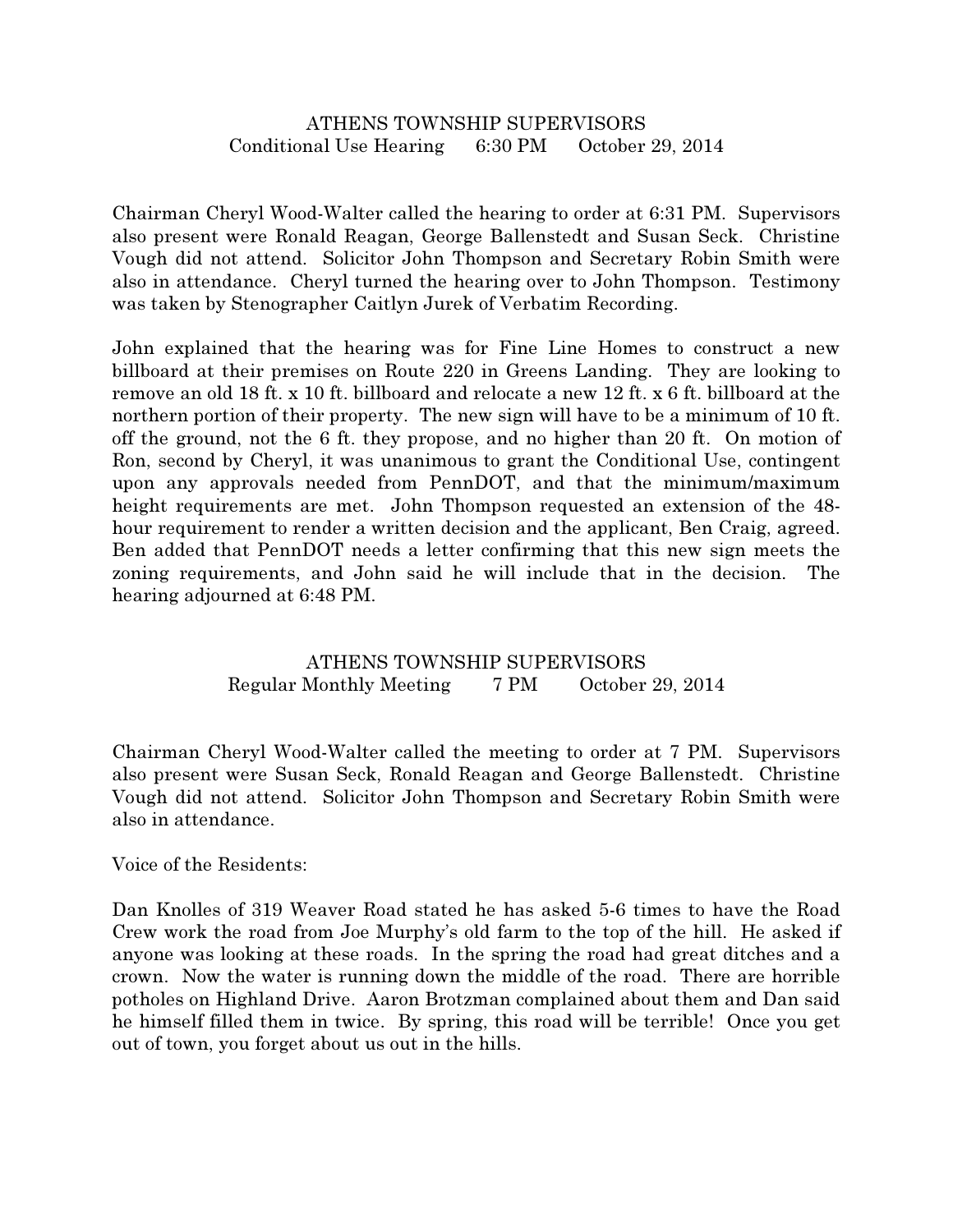## ATHENS TOWNSHIP SUPERVISORS Conditional Use Hearing 6:30 PM October 29, 2014

Chairman Cheryl Wood-Walter called the hearing to order at 6:31 PM. Supervisors also present were Ronald Reagan, George Ballenstedt and Susan Seck. Christine Vough did not attend. Solicitor John Thompson and Secretary Robin Smith were also in attendance. Cheryl turned the hearing over to John Thompson. Testimony was taken by Stenographer Caitlyn Jurek of Verbatim Recording.

John explained that the hearing was for Fine Line Homes to construct a new billboard at their premises on Route 220 in Greens Landing. They are looking to remove an old 18 ft. x 10 ft. billboard and relocate a new 12 ft. x 6 ft. billboard at the northern portion of their property. The new sign will have to be a minimum of 10 ft. off the ground, not the 6 ft. they propose, and no higher than 20 ft. On motion of Ron, second by Cheryl, it was unanimous to grant the Conditional Use, contingent upon any approvals needed from PennDOT, and that the minimum/maximum height requirements are met. John Thompson requested an extension of the 48 hour requirement to render a written decision and the applicant, Ben Craig, agreed. Ben added that PennDOT needs a letter confirming that this new sign meets the zoning requirements, and John said he will include that in the decision. The hearing adjourned at 6:48 PM.

## ATHENS TOWNSHIP SUPERVISORS Regular Monthly Meeting 7 PM October 29, 2014

Chairman Cheryl Wood-Walter called the meeting to order at 7 PM. Supervisors also present were Susan Seck, Ronald Reagan and George Ballenstedt. Christine Vough did not attend. Solicitor John Thompson and Secretary Robin Smith were also in attendance.

## Voice of the Residents:

Dan Knolles of 319 Weaver Road stated he has asked 5-6 times to have the Road Crew work the road from Joe Murphy's old farm to the top of the hill. He asked if anyone was looking at these roads. In the spring the road had great ditches and a crown. Now the water is running down the middle of the road. There are horrible potholes on Highland Drive. Aaron Brotzman complained about them and Dan said he himself filled them in twice. By spring, this road will be terrible! Once you get out of town, you forget about us out in the hills.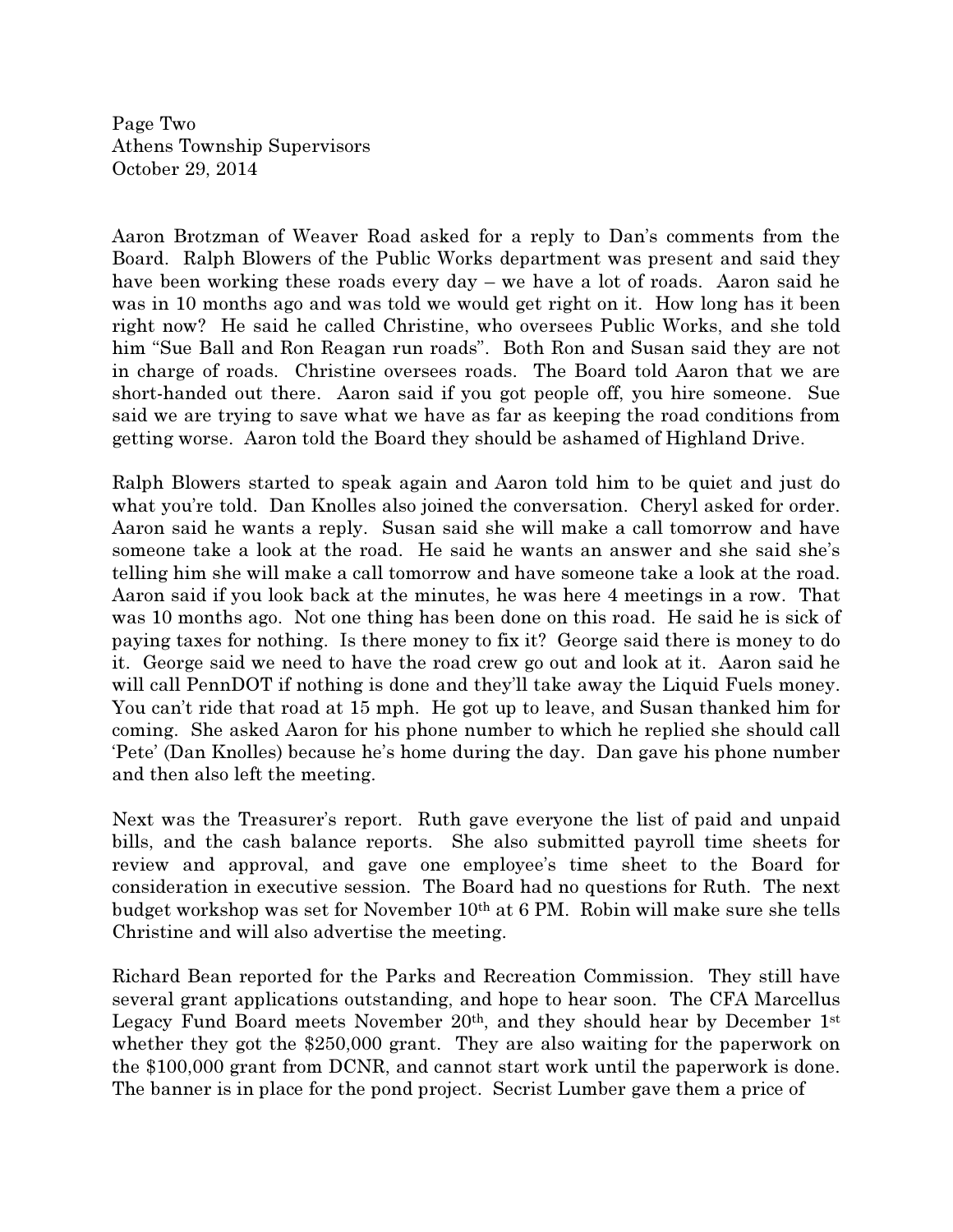Page Two Athens Township Supervisors October 29, 2014

Aaron Brotzman of Weaver Road asked for a reply to Dan's comments from the Board. Ralph Blowers of the Public Works department was present and said they have been working these roads every day – we have a lot of roads. Aaron said he was in 10 months ago and was told we would get right on it. How long has it been right now? He said he called Christine, who oversees Public Works, and she told him "Sue Ball and Ron Reagan run roads". Both Ron and Susan said they are not in charge of roads. Christine oversees roads. The Board told Aaron that we are short-handed out there. Aaron said if you got people off, you hire someone. Sue said we are trying to save what we have as far as keeping the road conditions from getting worse. Aaron told the Board they should be ashamed of Highland Drive.

Ralph Blowers started to speak again and Aaron told him to be quiet and just do what you're told. Dan Knolles also joined the conversation. Cheryl asked for order. Aaron said he wants a reply. Susan said she will make a call tomorrow and have someone take a look at the road. He said he wants an answer and she said she's telling him she will make a call tomorrow and have someone take a look at the road. Aaron said if you look back at the minutes, he was here 4 meetings in a row. That was 10 months ago. Not one thing has been done on this road. He said he is sick of paying taxes for nothing. Is there money to fix it? George said there is money to do it. George said we need to have the road crew go out and look at it. Aaron said he will call PennDOT if nothing is done and they'll take away the Liquid Fuels money. You can't ride that road at 15 mph. He got up to leave, and Susan thanked him for coming. She asked Aaron for his phone number to which he replied she should call 'Pete' (Dan Knolles) because he's home during the day. Dan gave his phone number and then also left the meeting.

Next was the Treasurer's report. Ruth gave everyone the list of paid and unpaid bills, and the cash balance reports. She also submitted payroll time sheets for review and approval, and gave one employee's time sheet to the Board for consideration in executive session. The Board had no questions for Ruth. The next budget workshop was set for November 10th at 6 PM. Robin will make sure she tells Christine and will also advertise the meeting.

Richard Bean reported for the Parks and Recreation Commission. They still have several grant applications outstanding, and hope to hear soon. The CFA Marcellus Legacy Fund Board meets November  $20<sup>th</sup>$ , and they should hear by December 1st whether they got the \$250,000 grant. They are also waiting for the paperwork on the \$100,000 grant from DCNR, and cannot start work until the paperwork is done. The banner is in place for the pond project. Secrist Lumber gave them a price of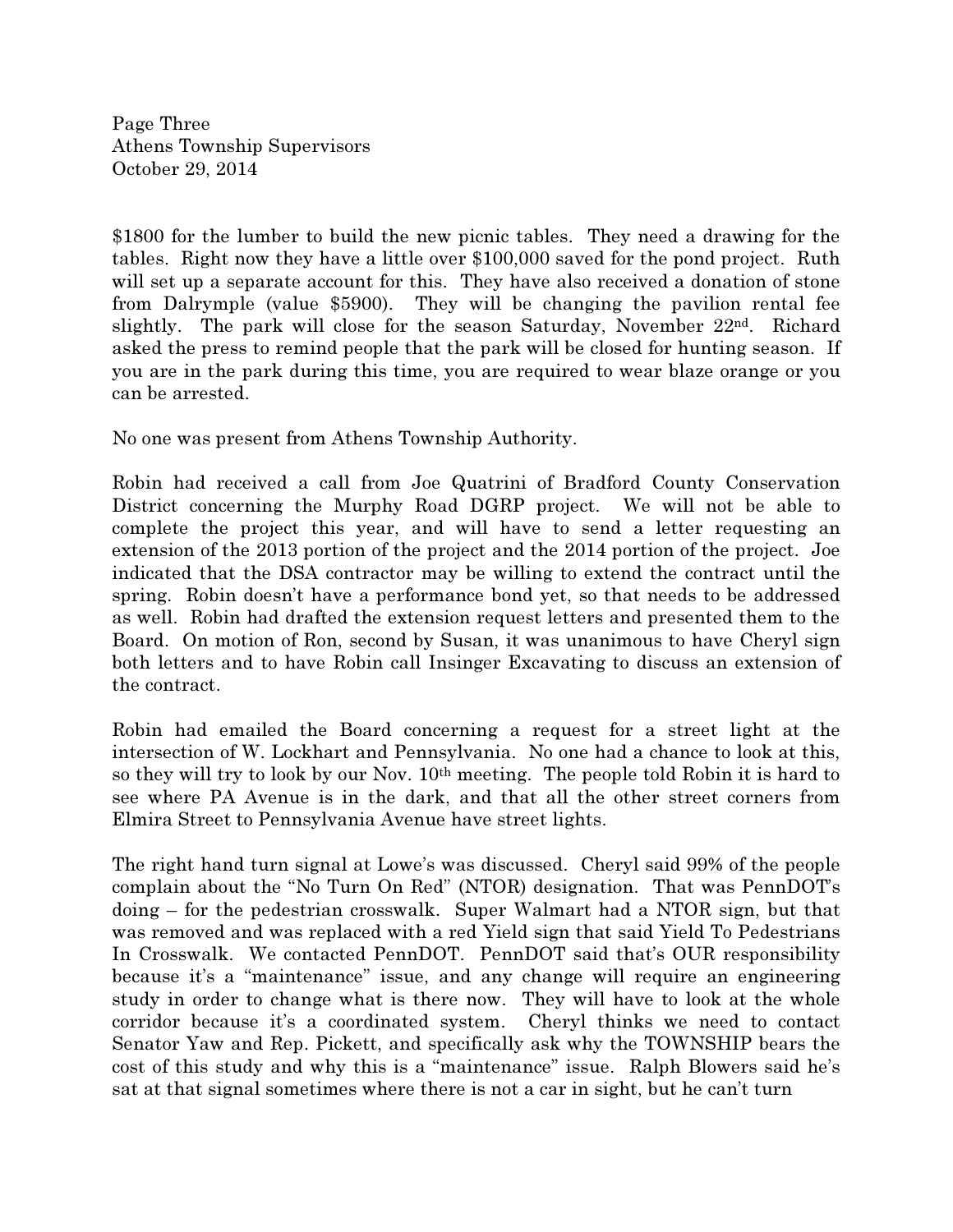Page Three Athens Township Supervisors October 29, 2014

\$1800 for the lumber to build the new picnic tables. They need a drawing for the tables. Right now they have a little over \$100,000 saved for the pond project. Ruth will set up a separate account for this. They have also received a donation of stone from Dalrymple (value \$5900). They will be changing the pavilion rental fee slightly. The park will close for the season Saturday, November  $22<sup>nd</sup>$ . Richard asked the press to remind people that the park will be closed for hunting season. If you are in the park during this time, you are required to wear blaze orange or you can be arrested.

No one was present from Athens Township Authority.

Robin had received a call from Joe Quatrini of Bradford County Conservation District concerning the Murphy Road DGRP project. We will not be able to complete the project this year, and will have to send a letter requesting an extension of the 2013 portion of the project and the 2014 portion of the project. Joe indicated that the DSA contractor may be willing to extend the contract until the spring. Robin doesn't have a performance bond yet, so that needs to be addressed as well. Robin had drafted the extension request letters and presented them to the Board. On motion of Ron, second by Susan, it was unanimous to have Cheryl sign both letters and to have Robin call Insinger Excavating to discuss an extension of the contract.

Robin had emailed the Board concerning a request for a street light at the intersection of W. Lockhart and Pennsylvania. No one had a chance to look at this, so they will try to look by our Nov. 10th meeting. The people told Robin it is hard to see where PA Avenue is in the dark, and that all the other street corners from Elmira Street to Pennsylvania Avenue have street lights.

The right hand turn signal at Lowe's was discussed. Cheryl said 99% of the people complain about the "No Turn On Red" (NTOR) designation. That was PennDOT's doing – for the pedestrian crosswalk. Super Walmart had a NTOR sign, but that was removed and was replaced with a red Yield sign that said Yield To Pedestrians In Crosswalk. We contacted PennDOT. PennDOT said that's OUR responsibility because it's a "maintenance" issue, and any change will require an engineering study in order to change what is there now. They will have to look at the whole corridor because it's a coordinated system. Cheryl thinks we need to contact Senator Yaw and Rep. Pickett, and specifically ask why the TOWNSHIP bears the cost of this study and why this is a "maintenance" issue. Ralph Blowers said he's sat at that signal sometimes where there is not a car in sight, but he can't turn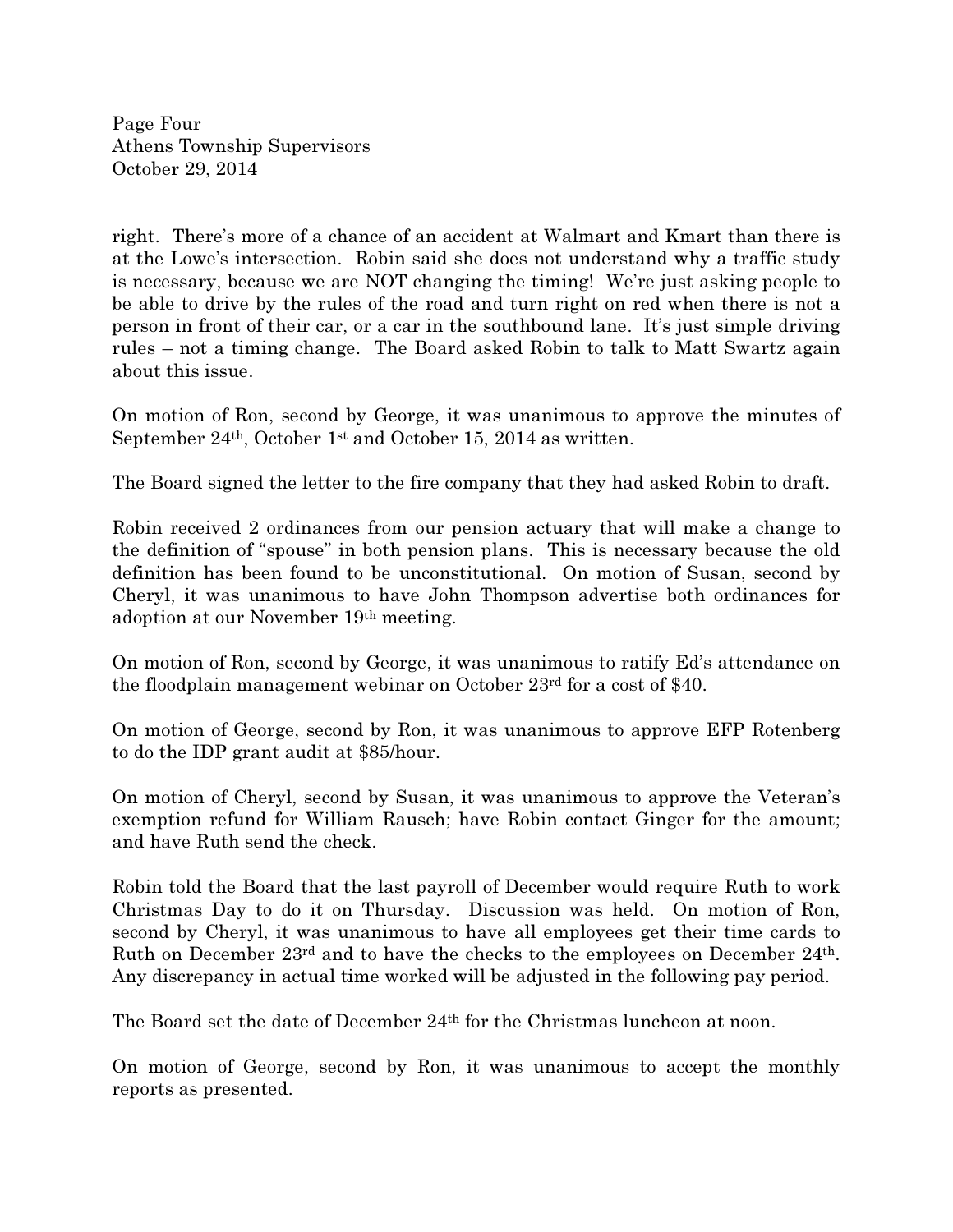Page Four Athens Township Supervisors October 29, 2014

right. There's more of a chance of an accident at Walmart and Kmart than there is at the Lowe's intersection. Robin said she does not understand why a traffic study is necessary, because we are NOT changing the timing! We're just asking people to be able to drive by the rules of the road and turn right on red when there is not a person in front of their car, or a car in the southbound lane. It's just simple driving rules – not a timing change. The Board asked Robin to talk to Matt Swartz again about this issue.

On motion of Ron, second by George, it was unanimous to approve the minutes of September 24th, October 1st and October 15, 2014 as written.

The Board signed the letter to the fire company that they had asked Robin to draft.

Robin received 2 ordinances from our pension actuary that will make a change to the definition of "spouse" in both pension plans. This is necessary because the old definition has been found to be unconstitutional. On motion of Susan, second by Cheryl, it was unanimous to have John Thompson advertise both ordinances for adoption at our November 19th meeting.

On motion of Ron, second by George, it was unanimous to ratify Ed's attendance on the floodplain management webinar on October 23rd for a cost of \$40.

On motion of George, second by Ron, it was unanimous to approve EFP Rotenberg to do the IDP grant audit at \$85/hour.

On motion of Cheryl, second by Susan, it was unanimous to approve the Veteran's exemption refund for William Rausch; have Robin contact Ginger for the amount; and have Ruth send the check.

Robin told the Board that the last payroll of December would require Ruth to work Christmas Day to do it on Thursday. Discussion was held. On motion of Ron, second by Cheryl, it was unanimous to have all employees get their time cards to Ruth on December 23rd and to have the checks to the employees on December 24th. Any discrepancy in actual time worked will be adjusted in the following pay period.

The Board set the date of December 24th for the Christmas luncheon at noon.

On motion of George, second by Ron, it was unanimous to accept the monthly reports as presented.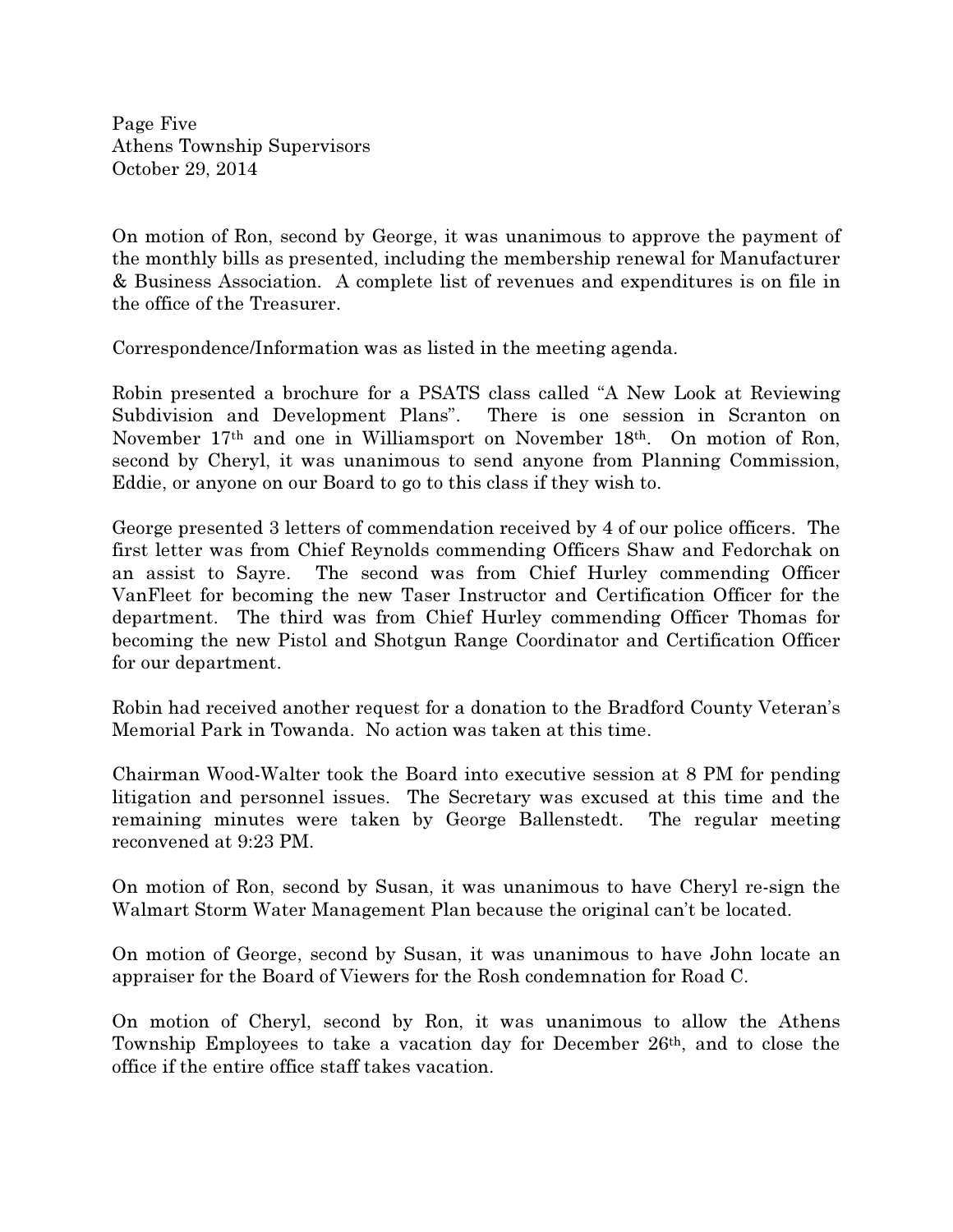Page Five Athens Township Supervisors October 29, 2014

On motion of Ron, second by George, it was unanimous to approve the payment of the monthly bills as presented, including the membership renewal for Manufacturer & Business Association. A complete list of revenues and expenditures is on file in the office of the Treasurer.

Correspondence/Information was as listed in the meeting agenda.

Robin presented a brochure for a PSATS class called "A New Look at Reviewing Subdivision and Development Plans". There is one session in Scranton on November 17th and one in Williamsport on November 18th. On motion of Ron, second by Cheryl, it was unanimous to send anyone from Planning Commission, Eddie, or anyone on our Board to go to this class if they wish to.

George presented 3 letters of commendation received by 4 of our police officers. The first letter was from Chief Reynolds commending Officers Shaw and Fedorchak on an assist to Sayre. The second was from Chief Hurley commending Officer VanFleet for becoming the new Taser Instructor and Certification Officer for the department. The third was from Chief Hurley commending Officer Thomas for becoming the new Pistol and Shotgun Range Coordinator and Certification Officer for our department.

Robin had received another request for a donation to the Bradford County Veteran's Memorial Park in Towanda. No action was taken at this time.

Chairman Wood-Walter took the Board into executive session at 8 PM for pending litigation and personnel issues. The Secretary was excused at this time and the remaining minutes were taken by George Ballenstedt. The regular meeting reconvened at 9:23 PM.

On motion of Ron, second by Susan, it was unanimous to have Cheryl re-sign the Walmart Storm Water Management Plan because the original can't be located.

On motion of George, second by Susan, it was unanimous to have John locate an appraiser for the Board of Viewers for the Rosh condemnation for Road C.

On motion of Cheryl, second by Ron, it was unanimous to allow the Athens Township Employees to take a vacation day for December 26th, and to close the office if the entire office staff takes vacation.